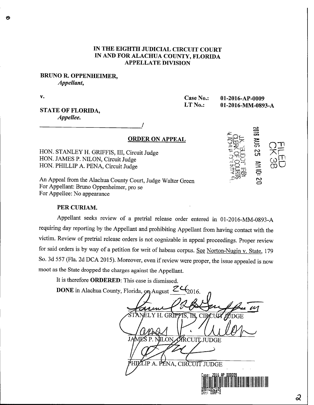## IN THE EIGHTH JUDICIAL CIRCUIT COURT IN AND FOR ALACHUA COUNTY, FLORIDA APPELLATE DIVISION

### BRUNO R. OPPENHEIMER, Appellant,

V.

Case No.: 01-2016-AP-0009 LT No.: 01-2016-MM-0893-A

 $rac{2}{3}$ 

ទី ..<br>ყ

**AH 10:** 

<u>ည</u>

## STATE OF FLORIDA, Appellee.

# ORDER ON APPEAL

HON. STANLEY H. GRIFFIS, III, Circuit Judge HON. JAMES P. NILON, Circuit Judge HON. PHILLIP A. PENA, Circuit Judge

An Appeal from the Alachua County Court, Judge Walter Green For Appellant: Bruno Oppenheimer, pro se For Appellee: No appearance

### PER CURIAM.

Appellant seeks review of a pretrial release order entered in 01-2016-MM-0893-A requiring day reporting by the Appellant and prohibiting Appellant from having contact with the victim. Review of pretrial release orders is not cognizable in appeal proceedings. Proper review for said orders is by way of a petition for writ of habeas corpus. See Norton-Nugin v. State, 179 So. 3d 557 (Fla. 2d DCA 2015). Moreover, even if review were proper, the issue appealed is now moot as the State dropped the charges against the Appellant.

It is therefore ORDERED: This case is dismissed.

**DONE** in Alachua County, Florida,  $\alpha_{10}$  August  $2\epsilon_{2016}$ .

 $n \triangle Q$ 21S. T.N. CIRACIÚA ADGE JAN III ON ÍRCUIT.JUDGE LIP A. PÉNA, CIRCUIT JUDGE

 $\ddot{\circ}$ 

**III**